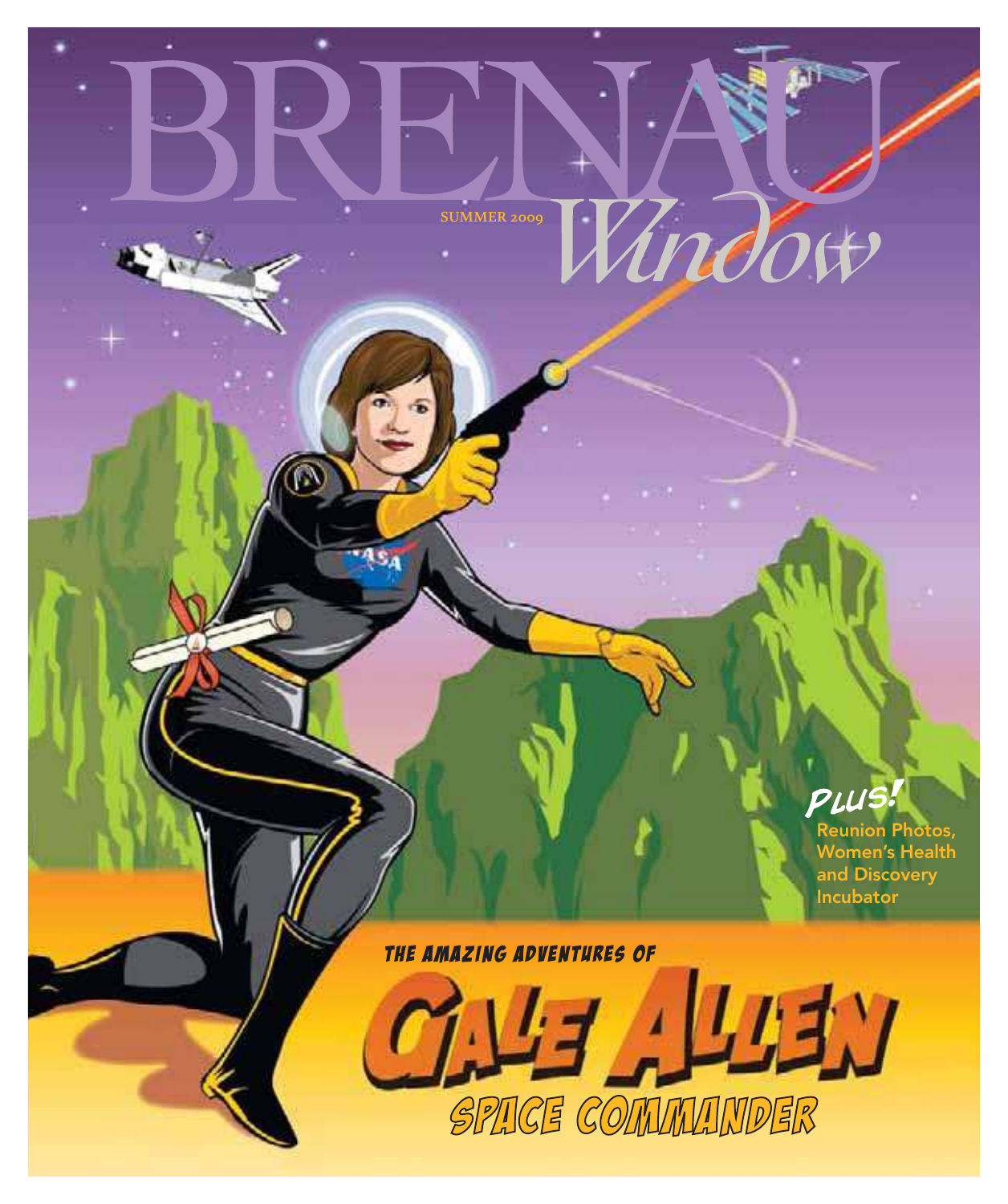Wudow **SUMMER 2009**



リュン

Reunion Photos, Women's Health and Discovery Incubator

THE AMAZING ADVENTURES OF

SPACE COMMANDER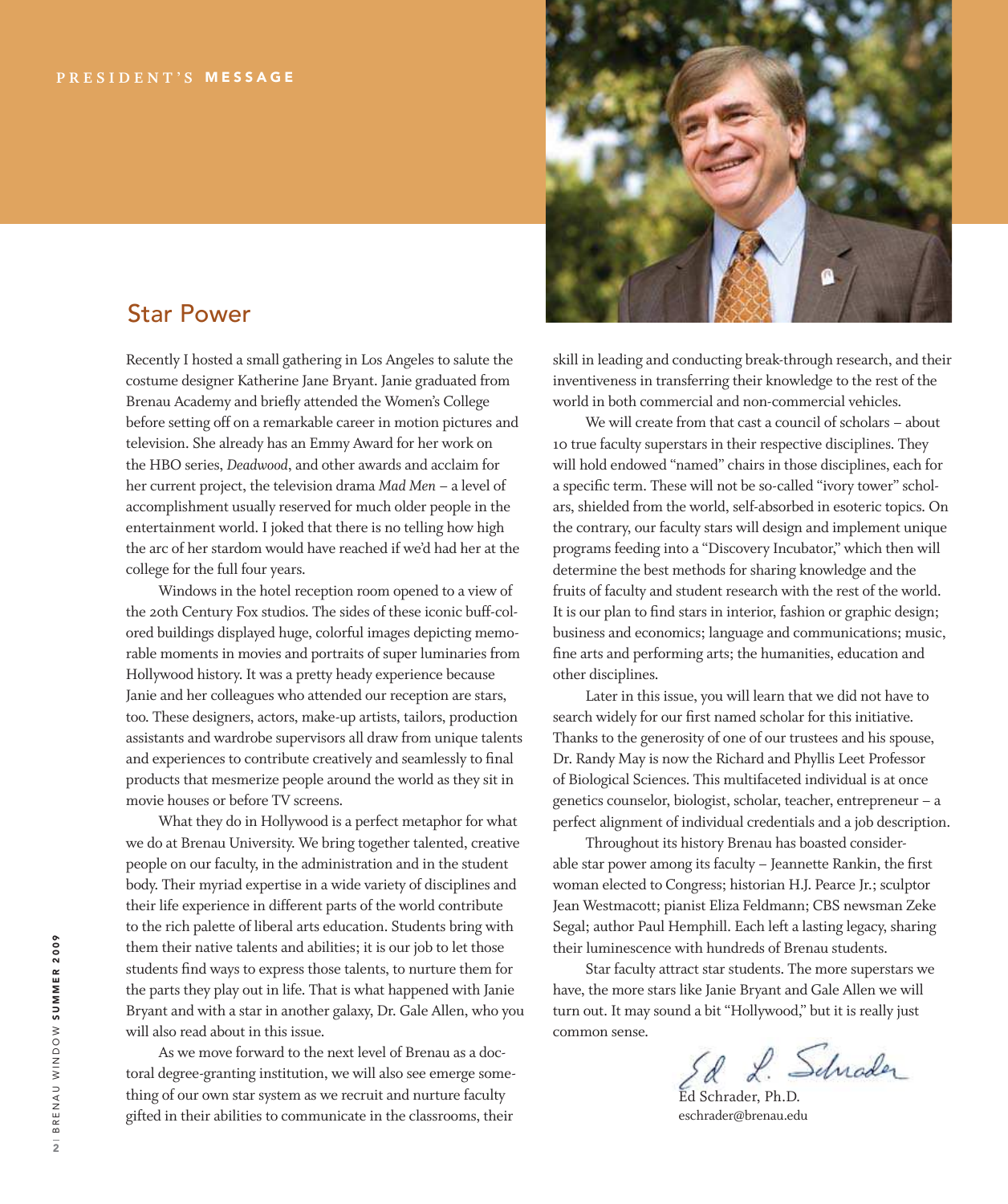

## Star Power

Recently I hosted a small gathering in Los Angeles to salute the costume designer Katherine Jane Bryant. Janie graduated from Brenau Academy and briely attended the Women's College before setting off on a remarkable career in motion pictures and television. She already has an Emmy Award for her work on the HBO series, *Deadwood*, and other awards and acclaim for her current project, the television drama *Mad Men* – a level of accomplishment usually reserved for much older people in the entertainment world. I joked that there is no telling how high the arc of her stardom would have reached if we'd had her at the college for the full four years.

 Windows in the hotel reception room opened to a view of the 20th Century Fox studios. The sides of these iconic buff-colored buildings displayed huge, colorful images depicting memorable moments in movies and portraits of super luminaries from Hollywood history. It was a pretty heady experience because Janie and her colleagues who attended our reception are stars, too. These designers, actors, make-up artists, tailors, production assistants and wardrobe supervisors all draw from unique talents and experiences to contribute creatively and seamlessly to final products that mesmerize people around the world as they sit in movie houses or before TV screens.

 What they do in Hollywood is a perfect metaphor for what we do at Brenau University. We bring together talented, creative people on our faculty, in the administration and in the student body. Their myriad expertise in a wide variety of disciplines and their life experience in different parts of the world contribute to the rich palette of liberal arts education. Students bring with them their native talents and abilities; it is our job to let those students find ways to express those talents, to nurture them for the parts they play out in life. That is what happened with Janie Bryant and with a star in another galaxy, Dr. Gale Allen, who you will also read about in this issue.

 As we move forward to the next level of Brenau as a doctoral degree-granting institution, we will also see emerge something of our own star system as we recruit and nurture faculty gifted in their abilities to communicate in the classrooms, their

skill in leading and conducting break-through research, and their inventiveness in transferring their knowledge to the rest of the world in both commercial and non-commercial vehicles.

 We will create from that cast a council of scholars – about 10 true faculty superstars in their respective disciplines. They will hold endowed "named" chairs in those disciplines, each for a specific term. These will not be so-called "ivory tower" scholars, shielded from the world, self-absorbed in esoteric topics. On the contrary, our faculty stars will design and implement unique programs feeding into a "Discovery Incubator," which then will determine the best methods for sharing knowledge and the fruits of faculty and student research with the rest of the world. It is our plan to find stars in interior, fashion or graphic design; business and economics; language and communications; music, ine arts and performing arts; the humanities, education and other disciplines.

 Later in this issue, you will learn that we did not have to search widely for our first named scholar for this initiative. Thanks to the generosity of one of our trustees and his spouse, Dr. Randy May is now the Richard and Phyllis Leet Professor of Biological Sciences. This multifaceted individual is at once genetics counselor, biologist, scholar, teacher, entrepreneur – a perfect alignment of individual credentials and a job description.

 Throughout its history Brenau has boasted considerable star power among its faculty - Jeannette Rankin, the first woman elected to Congress; historian H.J. Pearce Jr.; sculptor Jean Westmacott; pianist Eliza Feldmann; CBS newsman Zeke Segal; author Paul Hemphill. Each left a lasting legacy, sharing their luminescence with hundreds of Brenau students.

 Star faculty attract star students. The more superstars we have, the more stars like Janie Bryant and Gale Allen we will turn out. It may sound a bit "Hollywood," but it is really just common sense.

Ed Schrader, Ph.D.

eschrader@brenau.edu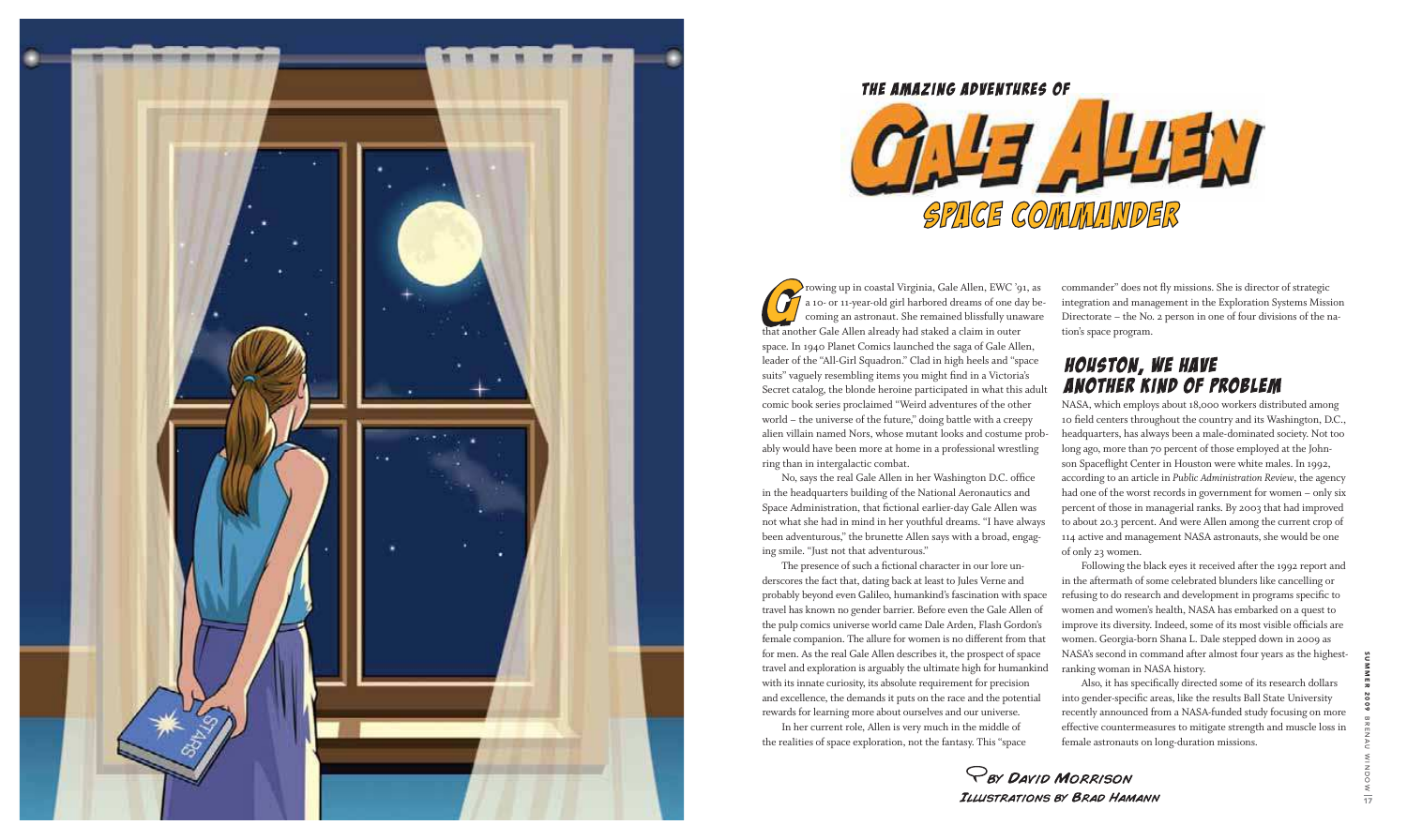

### THE AMAZING ADVENTURES OF



SUMMER 2009 B R E N A U W I N I N ⇒ 17

**PBY DAVID MORRISON** ILLUSTRATIONS BY BRAD HAMANN

rowing up in coastal Virginia, Gale Allen, EWC '91, as a 10- or 11-year-old girl harbored dreams of one day becoming an astronaut. She remained blissfully unaware that another Gale Allen already had staked a claim in outer space. In 1940 Planet Comics launched the saga of Gale Allen, leader of the "All-Girl Squadron." Clad in high heels and "space suits" vaguely resembling items you might find in a Victoria's Secret catalog, the blonde heroine participated in what this adult comic book series proclaimed "Weird adventures of the other world – the universe of the future," doing battle with a creepy alien villain named Nors, whose mutant looks and costume probably would have been more at home in a professional wrestling ring than in intergalactic combat.

 No, says the real Gale Allen in her Washington D.C. ofice in the headquarters building of the National Aeronautics and Space Administration, that fictional earlier-day Gale Allen was not what she had in mind in her youthful dreams. "I have always been adventurous," the brunette Allen says with a broad, engaging smile. "Just not that adventurous."

The presence of such a fictional character in our lore underscores the fact that, dating back at least to Jules Verne and probably beyond even Galileo, humankind's fascination with space travel has known no gender barrier. Before even the Gale Allen of the pulp comics universe world came Dale Arden, Flash Gordon's female companion. The allure for women is no different from that for men. As the real Gale Allen describes it, the prospect of space travel and exploration is arguably the ultimate high for humankind with its innate curiosity, its absolute requirement for precision and excellence, the demands it puts on the race and the potential rewards for learning more about ourselves and our universe. In her current role, Allen is very much in the middle of the realities of space exploration, not the fantasy. This "space



Also, it has specifically directed some of its research dollars into gender-specific areas, like the results Ball State University recently announced from a NASA-funded study focusing on more effective countermeasures to mitigate strength and muscle loss in female astronauts on long-duration missions.

commander" does not ly missions. She is director of strategic integration and management in the Exploration Systems Mission Directorate – the No. 2 person in one of four divisions of the nation's space program.

# **HOUSTON, WE HAVE ANOTHER KIND OF PROBLEM**

NASA, which employs about 18,000 workers distributed among 10 field centers throughout the country and its Washington, D.C., headquarters, has always been a male-dominated society. Not too long ago, more than 70 percent of those employed at the John son Spacelight Center in Houston were white males. In 1992, according to an article in *Public Administration Review*, the agency had one of the worst records in government for women – only six percent of those in managerial ranks. By 2003 that had improved to about 20.3 percent. And were Allen among the current crop of 114 active and management NASA astronauts, she would be one of only 23 women.

 Following the black eyes it received after the 1992 report and in the aftermath of some celebrated blunders like cancelling or refusing to do research and development in programs specific to women and women's health, NASA has embarked on a quest to improve its diversity. Indeed, some of its most visible oficials are women. Georgia-born Shana L. Dale stepped down in 2009 as NASA's second in command after almost four years as the highestranking woman in NASA history.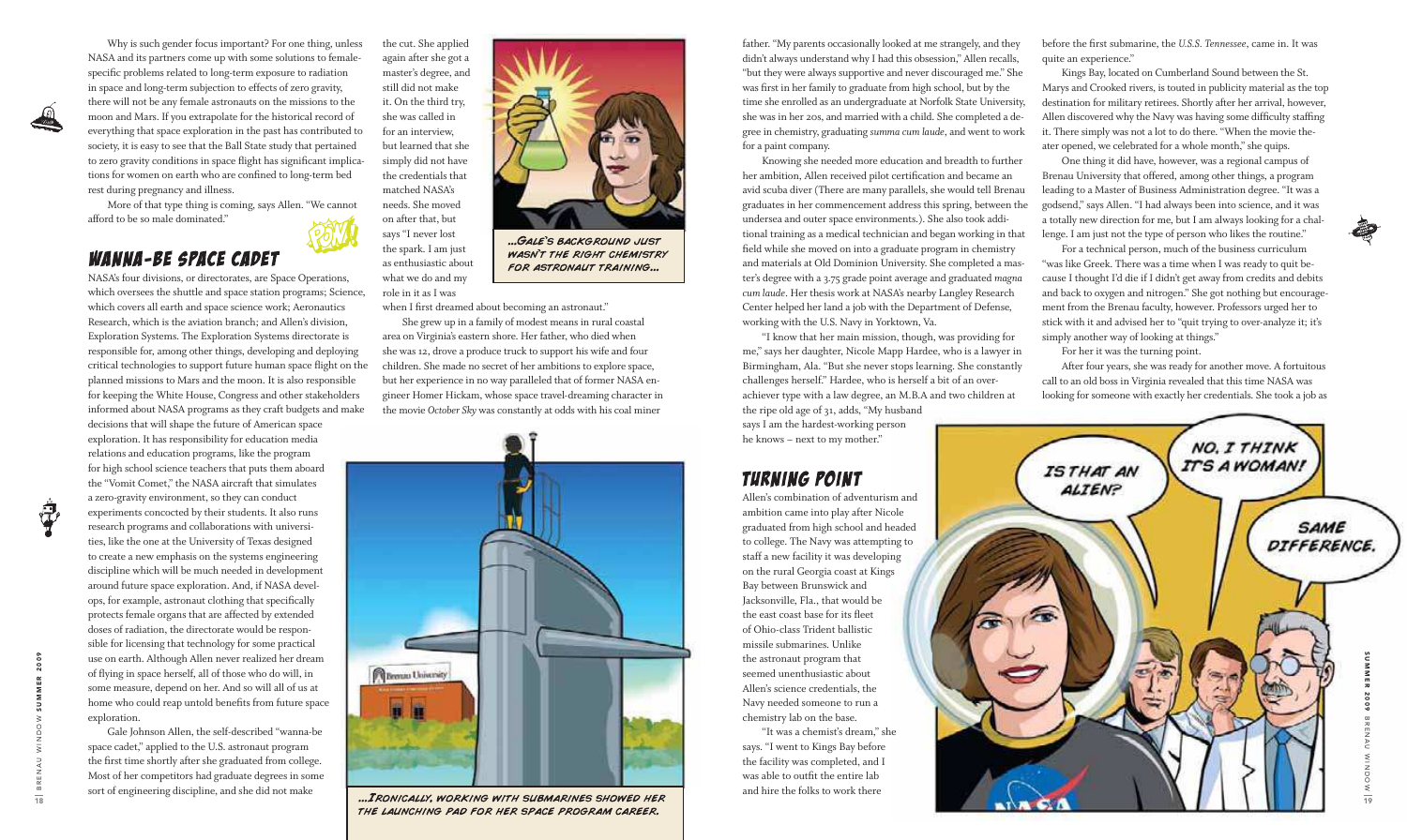



 Why is such gender focus important? For one thing, unless NASA and its partners come up with some solutions to femalespeciic problems related to long-term exposure to radiation in space and long-term subjection to effects of zero gravity, there will not be any female astronauts on the missions to the moon and Mars. If you extrapolate for the historical record of everything that space exploration in the past has contributed to society, it is easy to see that the Ball State study that pertained to zero gravity conditions in space flight has significant implications for women on earth who are confined to long-term bed rest during pregnancy and illness.

 More of that type thing is coming, says Allen. "We cannot afford to be so male dominated."

# **WANNA-BE SPACE CADET**

NASA's four divisions, or directorates, are Space Operations, which oversees the shuttle and space station programs; Science, which covers all earth and space science work; Aeronautics Research, which is the aviation branch; and Allen's division, Exploration Systems. The Exploration Systems directorate is responsible for, among other things, developing and deploying critical technologies to support future human space light on the planned missions to Mars and the moon. It is also responsible for keeping the White House, Congress and other stakeholders informed about NASA programs as they craft budgets and make decisions that will shape the future of American space exploration. It has responsibility for education media relations and education programs, like the program for high school science teachers that puts them aboard the "Vomit Comet," the NASA aircraft that simulates a zero-gravity environment, so they can conduct experiments concocted by their students. It also runs research programs and collaborations with universities, like the one at the University of Texas designed to create a new emphasis on the systems engineering

discipline which will be much needed in development around future space exploration. And, if NASA develops, for example, astronaut clothing that specifically protects female organs that are affected by extended doses of radiation, the directorate would be responsible for licensing that technology for some practical use on earth. Although Allen never realized her dream of lying in space herself, all of those who do will, in some measure, depend on her. And so will all of us at home who could reap untold benefits from future space exploration.

 Gale Johnson Allen, the self-described "wanna-be space cadet," applied to the U.S. astronaut program the first time shortly after she graduated from college. Most of her competitors had graduate degrees in some sort of engineering discipline, and she did not make

the cut. She applied again after she got a master's degree, and still did not make it. On the third try, she was called in for an interview, but learned that she simply did not have the credentials that matched NASA's needs. She moved on after that, but says "I never lost the spark. I am just as enthusiastic about what we do and my role in it as I was



... GALE'S BACKGROUND JUST **WASN'T THE RIGHT CHEMISTRY** FOR ASTRONAUT TRAINING...

when I first dreamed about becoming an astronaut."

before the first submarine, the *U.S.S. Tennessee*, came in. It was quite an experience."

 She grew up in a family of modest means in rural coastal area on Virginia's eastern shore. Her father, who died when she was 12, drove a produce truck to support his wife and four children. She made no secret of her ambitions to explore space, but her experience in no way paralleled that of former NASA engineer Homer Hickam, whose space travel-dreaming character in the movie *October Sky* was constantly at odds with his coal miner



... IRONICALLY, WORKING WITH SUBMARINES SHOWED HER THE LAUNCHING PAD FOR HER SPACE PROGRAM CAREER.

father. "My parents occasionally looked at me strangely, and they didn't always understand why I had this obsession," Allen recalls, "but they were always supportive and never discouraged me." She was first in her family to graduate from high school, but by the time she enrolled as an undergraduate at Norfolk State University, she was in her 20s, and married with a child. She completed a degree in chemistry, graduating *summa cum laude*, and went to work for a paint company.

 Knowing she needed more education and breadth to further her ambition, Allen received pilot certification and became an avid scuba diver (There are many parallels, she would tell Brenau graduates in her commencement address this spring, between the undersea and outer space environments.). She also took additional training as a medical technician and began working in that field while she moved on into a graduate program in chemistry and materials at Old Dominion University. She completed a master's degree with a 3.75 grade point average and graduated *magna cum laude*. Her thesis work at NASA's nearby Langley Research Center helped her land a job with the Department of Defense, working with the U.S. Navy in Yorktown, Va.

 "I know that her main mission, though, was providing for me," says her daughter, Nicole Mapp Hardee, who is a lawyer in Birmingham, Ala. "But she never stops learning. She constantly challenges herself." Hardee, who is herself a bit of an overachiever type with a law degree, an M.B.A and two children at the ripe old age of 31, adds, "My husband

says I am the hardest-working person he knows – next to my mother."

# **TURNING POINT**

Allen's combination of adventurism and ambition came into play after Nicole graduated from high school and headed to college. The Navy was attempting to staff a new facility it was developing on the rural Georgia coast at Kings Bay between Brunswick and Jacksonville, Fla., that would be the east coast base for its leet of Ohio-class Trident ballistic missile submarines. Unlike the astronaut program that seemed unenthusiastic about Allen's science credentials, the Navy needed someone to run a chemistry lab on the base.

 "It was a chemist's dream," she says. "I went to Kings Bay before the facility was completed, and I was able to outfit the entire lab and hire the folks to work there

 Kings Bay, located on Cumberland Sound between the St. Marys and Crooked rivers, is touted in publicity material as the top destination for military retirees. Shortly after her arrival, however, Allen discovered why the Navy was having some dificulty stafing it. There simply was not a lot to do there. "When the movie theater opened, we celebrated for a whole month," she quips.

 One thing it did have, however, was a regional campus of Brenau University that offered, among other things, a program leading to a Master of Business Administration degree. "It was a godsend," says Allen. "I had always been into science, and it was a totally new direction for me, but I am always looking for a challenge. I am just not the type of person who likes the routine."

 For a technical person, much of the business curriculum "was like Greek. There was a time when I was ready to quit because I thought I'd die if I didn't get away from credits and debits and back to oxygen and nitrogen." She got nothing but encouragement from the Brenau faculty, however. Professors urged her to stick with it and advised her to "quit trying to over-analyze it; it's simply another way of looking at things."

For her it was the turning point.

 After four years, she was ready for another move. A fortuitous call to an old boss in Virginia revealed that this time NASA was looking for someone with exactly her credentials. She took a job as

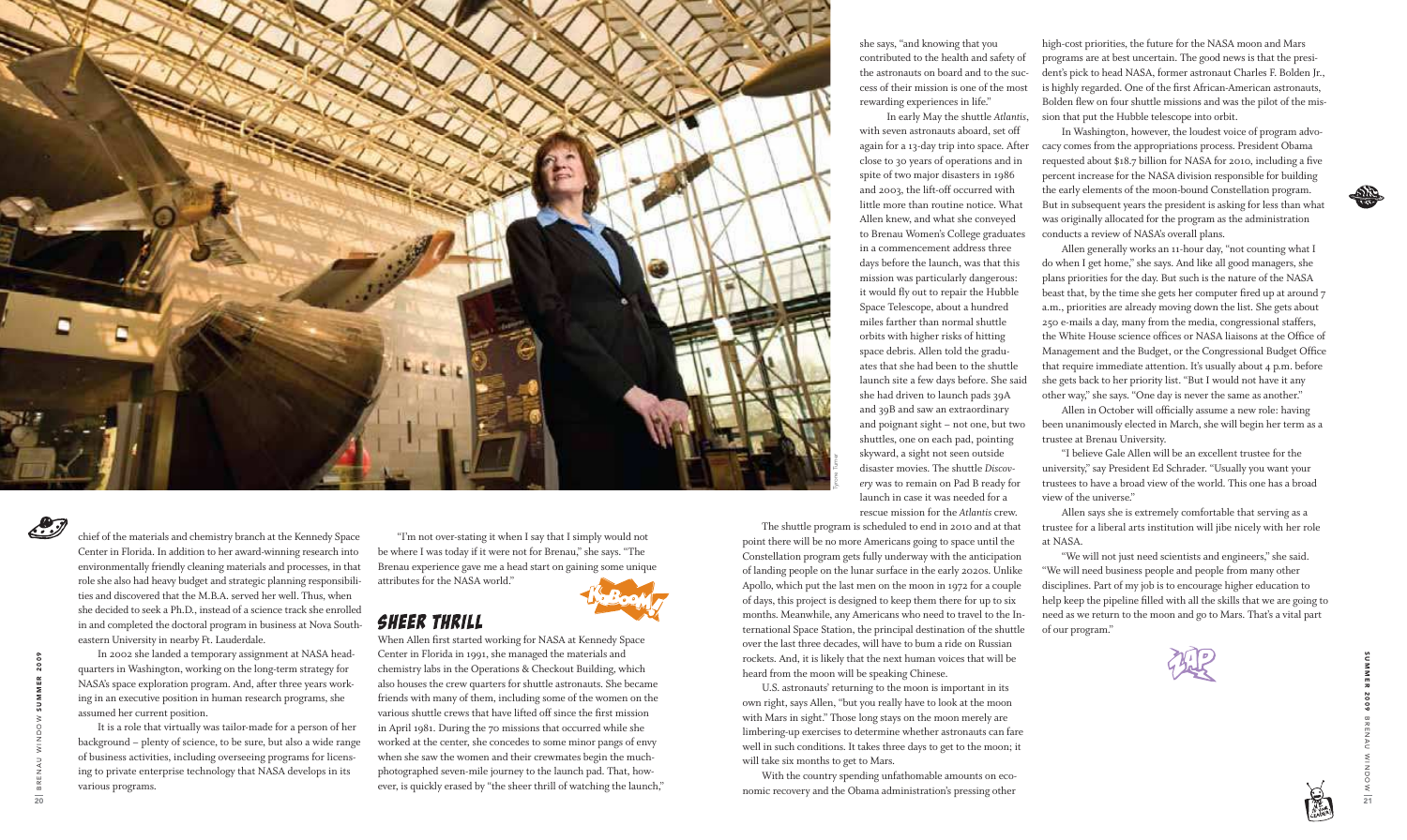- 
- 

chief of the materials and chemistry branch at the Kennedy Space Center in Florida. In addition to her award-winning research into environmentally friendly cleaning materials and processes, in that role she also had heavy budget and strategic planning responsibilities and discovered that the M.B.A. served her well. Thus, when she decided to seek a Ph.D., instead of a science track she enrolled in and completed the doctoral program in business at Nova Southeastern University in nearby Ft. Lauderdale.

 In 2002 she landed a temporary assignment at NASA headquarters in Washington, working on the long-term strategy for NASA's space exploration program. And, after three years working in an executive position in human research programs, she assumed her current position.

 It is a role that virtually was tailor-made for a person of her background – plenty of science, to be sure, but also a wide range of business activities, including overseeing programs for licensing to private enterprise technology that NASA develops in its various programs.

When Allen first started working for NASA at Kennedy Space Center in Florida in 1991, she managed the materials and chemistry labs in the Operations & Checkout Building, which also houses the crew quarters for shuttle astronauts. She became friends with many of them, including some of the women on the various shuttle crews that have lifted off since the first mission in April 1981. During the 70 missions that occurred while she worked at the center, she concedes to some minor pangs of envy when she saw the women and their crewmates begin the muchphotographed seven-mile journey to the launch pad. That, however, is quickly erased by "the sheer thrill of watching the launch,"

 "I'm not over-stating it when I say that I simply would not be where I was today if it were not for Brenau," she says. "The Brenau experience gave me a head start on gaining some unique attributes for the NASA world."



# **SHEER THRILL**

she says, "and knowing that you contributed to the health and safety of the astronauts on board and to the success of their mission is one of the most rewarding experiences in life." In early May the shuttle *Atlantis*, with seven astronauts aboard, set off again for a 13-day trip into space. After close to 30 years of operations and in spite of two major disasters in 1986 and 2003, the lift-off occurred with little more than routine notice. What Allen knew, and what she conveyed to Brenau Women's College graduates in a commencement address three days before the launch, was that this mission was particularly dangerous: it would fly out to repair the Hubble Space Telescope, about a hundred miles farther than normal shuttle orbits with higher risks of hitting space debris. Allen told the graduates that she had been to the shuttle launch site a few days before. She said she had driven to launch pads 39A and 39B and saw an extraordinary and poignant sight – not one, but two shuttles, one on each pad, pointing skyward, a sight not seen outside disaster movies. The shuttle *Discovery* was to remain on Pad B ready for launch in case it was needed for a rescue mission for the *Atlantis* crew.

 The shuttle program is scheduled to end in 2010 and at that point there will be no more Americans going to space until the Constellation program gets fully underway with the anticipation of landing people on the lunar surface in the early 2020s. Unlike Apollo, which put the last men on the moon in 1972 for a couple of days, this project is designed to keep them there for up to six months. Meanwhile, any Americans who need to travel to the International Space Station, the principal destination of the shuttle over the last three decades, will have to bum a ride on Russian rockets. And, it is likely that the next human voices that will be heard from the moon will be speaking Chinese.

 U.S. astronauts' returning to the moon is important in its own right, says Allen, "but you really have to look at the moon with Mars in sight." Those long stays on the moon merely are limbering-up exercises to determine whether astronauts can fare well in such conditions. It takes three days to get to the moon; it will take six months to get to Mars.

 With the country spending unfathomable amounts on economic recovery and the Obama administration's pressing other high-cost priorities, the future for the NASA moon and Mars programs are at best uncertain. The good news is that the president's pick to head NASA, former astronaut Charles F. Bolden Jr., is highly regarded. One of the first African-American astronauts, Bolden flew on four shuttle missions and was the pilot of the mission that put the Hubble telescope into orbit.

 In Washington, however, the loudest voice of program advocacy comes from the appropriations process. President Obama requested about \$18.7 billion for NASA for 2010, including a five percent increase for the NASA division responsible for building the early elements of the moon-bound Constellation program. But in subsequent years the president is asking for less than what was originally allocated for the program as the administration conducts a review of NASA's overall plans.

 Allen generally works an 11-hour day, "not counting what I do when I get home," she says. And like all good managers, she plans priorities for the day. But such is the nature of the NASA beast that, by the time she gets her computer fired up at around 7 a.m., priorities are already moving down the list. She gets about 250 e-mails a day, many from the media, congressional staffers, the White House science ofices or NASA liaisons at the Ofice of Management and the Budget, or the Congressional Budget Ofice that require immediate attention. It's usually about 4 p.m. before she gets back to her priority list. "But I would not have it any other way," she says. "One day is never the same as another."

 Allen in October will oficially assume a new role: having been unanimously elected in March, she will begin her term as a trustee at Brenau University.

 "I believe Gale Allen will be an excellent trustee for the university," say President Ed Schrader. "Usually you want your trustees to have a broad view of the world. This one has a broad view of the universe."

 Allen says she is extremely comfortable that serving as a trustee for a liberal arts institution will jibe nicely with her role at NASA.

 "We will not just need scientists and engineers," she said. "We will need business people and people from many other disciplines. Part of my job is to encourage higher education to help keep the pipeline filled with all the skills that we are going to need as we return to the moon and go to Mars. That's a vital part of our program."







S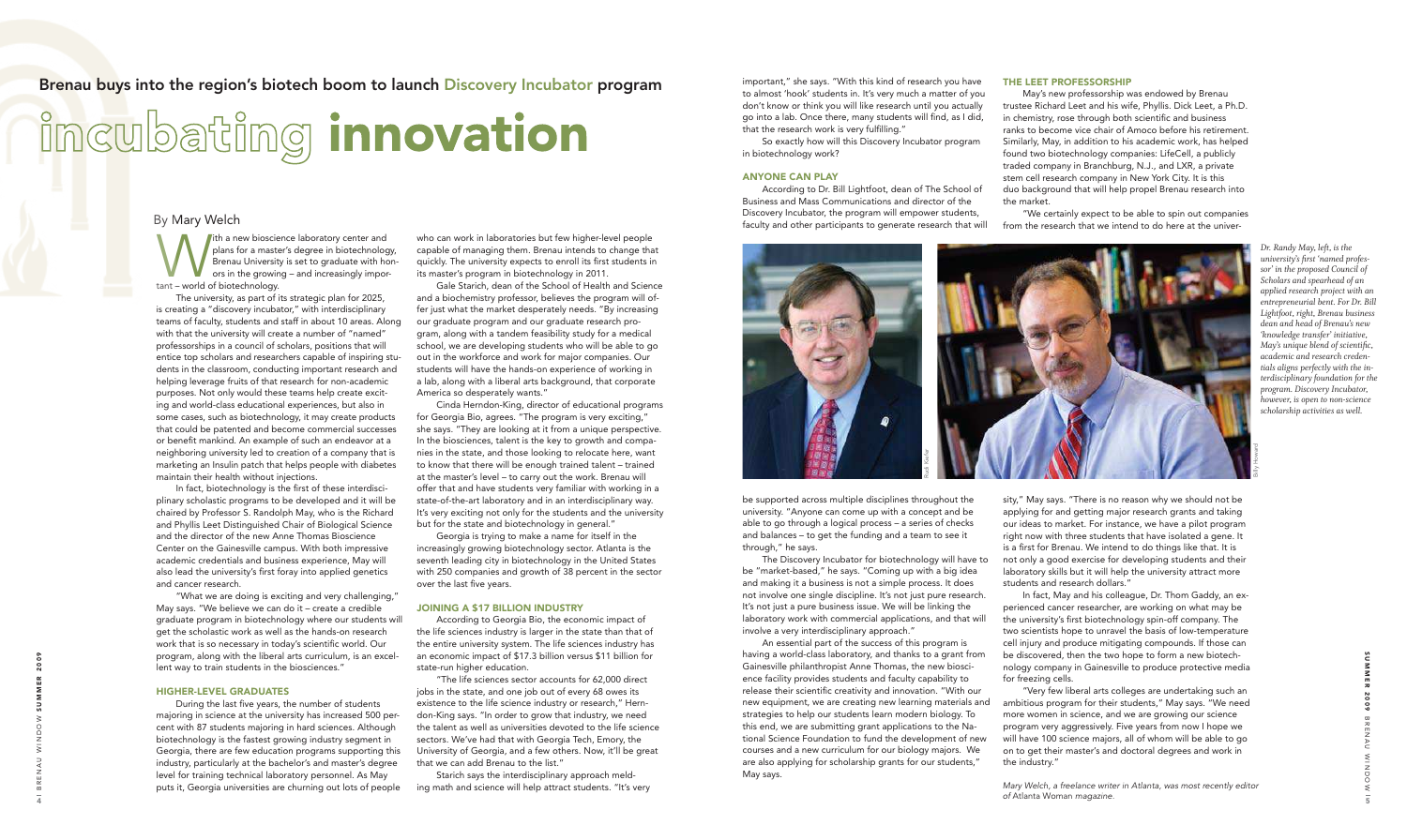By Mary Welch<br>
Behand the Brenau<br>
Behand ors in t **I** ith a new bioscience laboratory center and plans for a master's degree in biotechnology, Brenau University is set to graduate with honors in the growing – and increasingly important – world of biotechnology.

 The university, as part of its strategic plan for 2025, is creating a "discovery incubator," with interdisciplinary teams of faculty, students and staff in about 10 areas. Along with that the university will create a number of "named" professorships in a council of scholars, positions that will entice top scholars and researchers capable of inspiring students in the classroom, conducting important research and helping leverage fruits of that research for non-academic purposes. Not only would these teams help create exciting and world-class educational experiences, but also in some cases, such as biotechnology, it may create products that could be patented and become commercial successes or benefit mankind. An example of such an endeavor at a neighboring university led to creation of a company that is marketing an Insulin patch that helps people with diabetes maintain their health without injections.

 In fact, biotechnology is the first of these interdisciplinary scholastic programs to be developed and it will be chaired by Professor S. Randolph May, who is the Richard and Phyllis Leet Distinguished Chair of Biological Science and the director of the new Anne Thomas Bioscience Center on the Gainesville campus. With both impressive academic credentials and business experience, May will also lead the university's first foray into applied genetics and cancer research.

 "What we are doing is exciting and very challenging," May says. "We believe we can do it – create a credible graduate program in biotechnology where our students will get the scholastic work as well as the hands-on research work that is so necessary in today's scientific world. Our program, along with the liberal arts curriculum, is an excellent way to train students in the biosciences."

### HIGHER-LEVEL GRADUATES

 During the last five years, the number of students majoring in science at the university has increased 500 percent with 87 students majoring in hard sciences. Although biotechnology is the fastest growing industry segment in Georgia, there are few education programs supporting this industry, particularly at the bachelor's and master's degree level for training technical laboratory personnel. As May puts it, Georgia universities are churning out lots of people

who can work in laboratories but few higher-level people capable of managing them. Brenau intends to change that quickly. The university expects to enroll its first students in its master's program in biotechnology in 2011.

 Gale Starich, dean of the School of Health and Science and a biochemistry professor, believes the program will offer just what the market desperately needs. "By increasing our graduate program and our graduate research program, along with a tandem feasibility study for a medical school, we are developing students who will be able to go out in the workforce and work for major companies. Our students will have the hands-on experience of working in a lab, along with a liberal arts background, that corporate America so desperately wants."

 Cinda Herndon-King, director of educational programs for Georgia Bio, agrees. "The program is very exciting," she says. "They are looking at it from a unique perspective. In the biosciences, talent is the key to growth and companies in the state, and those looking to relocate here, want to know that there will be enough trained talent – trained at the master's level – to carry out the work. Brenau will offer that and have students very familiar with working in a state-of-the-art laboratory and in an interdisciplinary way. It's very exciting not only for the students and the university but for the state and biotechnology in general."

 Georgia is trying to make a name for itself in the increasingly growing biotechnology sector. Atlanta is the seventh leading city in biotechnology in the United States with 250 companies and growth of 38 percent in the sector over the last five years.

### JOINING A \$17 BILLION INDUSTRY

 According to Georgia Bio, the economic impact of the life sciences industry is larger in the state than that of the entire university system. The life sciences industry has an economic impact of \$17.3 billion versus \$11 billion for state-run higher education.

 "The life sciences sector accounts for 62,000 direct jobs in the state, and one job out of every 68 owes its existence to the life science industry or research," Herndon-King says. "In order to grow that industry, we need the talent as well as universities devoted to the life science sectors. We've had that with Georgia Tech, Emory, the University of Georgia, and a few others. Now, it'll be great that we can add Brenau to the list."

 Starich says the interdisciplinary approach melding math and science will help attract students. "It's very be supported across multiple disciplines throughout the university. "Anyone can come up with a concept and be able to go through a logical process – a series of checks and balances – to get the funding and a team to see it through," he says.

 The Discovery Incubator for biotechnology will have to be "market-based," he says. "Coming up with a big idea and making it a business is not a simple process. It does not involve one single discipline. It's not just pure research. It's not just a pure business issue. We will be linking the laboratory work with commercial applications, and that will involve a very interdisciplinary approach."

important," she says. "With this kind of research you have to almost 'hook' students in. It's very much a matter of you don't know or think you will like research until you actually go into a lab. Once there, many students will find, as I did, that the research work is very fulfilling." So exactly how will this Discovery Incubator program in biotechnology work? ANYONE CAN PLAY According to Dr. Bill Lightfoot, dean of The School of Business and Mass Communications and director of the May's new professorship was endowed by Brenau trustee Richard Leet and his wife, Phyllis. Dick Leet, a Ph.D. in chemistry, rose through both scientific and business ranks to become vice chair of Amoco before his retirement. Similarly, May, in addition to his academic work, has helped found two biotechnology companies: LifeCell, a publicly traded company in Branchburg, N.J., and LXR, a private stem cell research company in New York City. It is this duo background that will help propel Brenau research into the market.

Discovery Incubator, the program will empower students, faculty and other participants to generate research that will "We certainly expect to be able to spin out companies from the research that we intend to do here at the univer-

### THE LEET PROFESSORSHIP

 An essential part of the success of this program is having a world-class laboratory, and thanks to a grant from Gainesville philanthropist Anne Thomas, the new bioscience facility provides students and faculty capability to release their scientific creativity and innovation. "With our new equipment, we are creating new learning materials and strategies to help our students learn modern biology. To this end, we are submitting grant applications to the National Science Foundation to fund the development of new courses and a new curriculum for our biology majors. We are also applying for scholarship grants for our students," May says. be discovered, then the two hope to form a new biotechnology company in Gainesville to produce protective media for freezing cells. "Very few liberal arts colleges are undertaking such an ambitious program for their students," May says. "We need more women in science, and we are growing our science program very aggressively. Five years from now I hope we will have 100 science majors, all of whom will be able to go on to get their master's and doctoral degrees and work in the industry."

sity," May says. "There is no reason why we should not be applying for and getting major research grants and taking our ideas to market. For instance, we have a pilot program right now with three students that have isolated a gene. It is a first for Brenau. We intend to do things like that. It is not only a good exercise for developing students and their laboratory skills but it will help the university attract more students and research dollars."

 In fact, May and his colleague, Dr. Thom Gaddy, an experienced cancer researcher, are working on what may be the university's first biotechnology spin-off company. The two scientists hope to unravel the basis of low-temperature cell injury and produce mitigating compounds. If those can

*Dr. Randy May, left, is the university's irst 'named professor' in the proposed Council of Scholars and spearhead of an applied research project with an entrepreneurial bent. For Dr. Bill Lightfoot, right, Brenau business dean and head of Brenau's new 'knowledge transfer' initiative, May's unique blend of scientiic, academic and research credentials aligns perfectly with the interdisciplinary foundation for the program. Discovery Incubator, however, is open to non-science scholarship activities as well.*

## Brenau buys into the region's biotech boom to launch Discovery Incubator program

# incubating innovation



Mary Welch, a freelance writer in Atlanta, was most recently editor of Atlanta Woman magazine.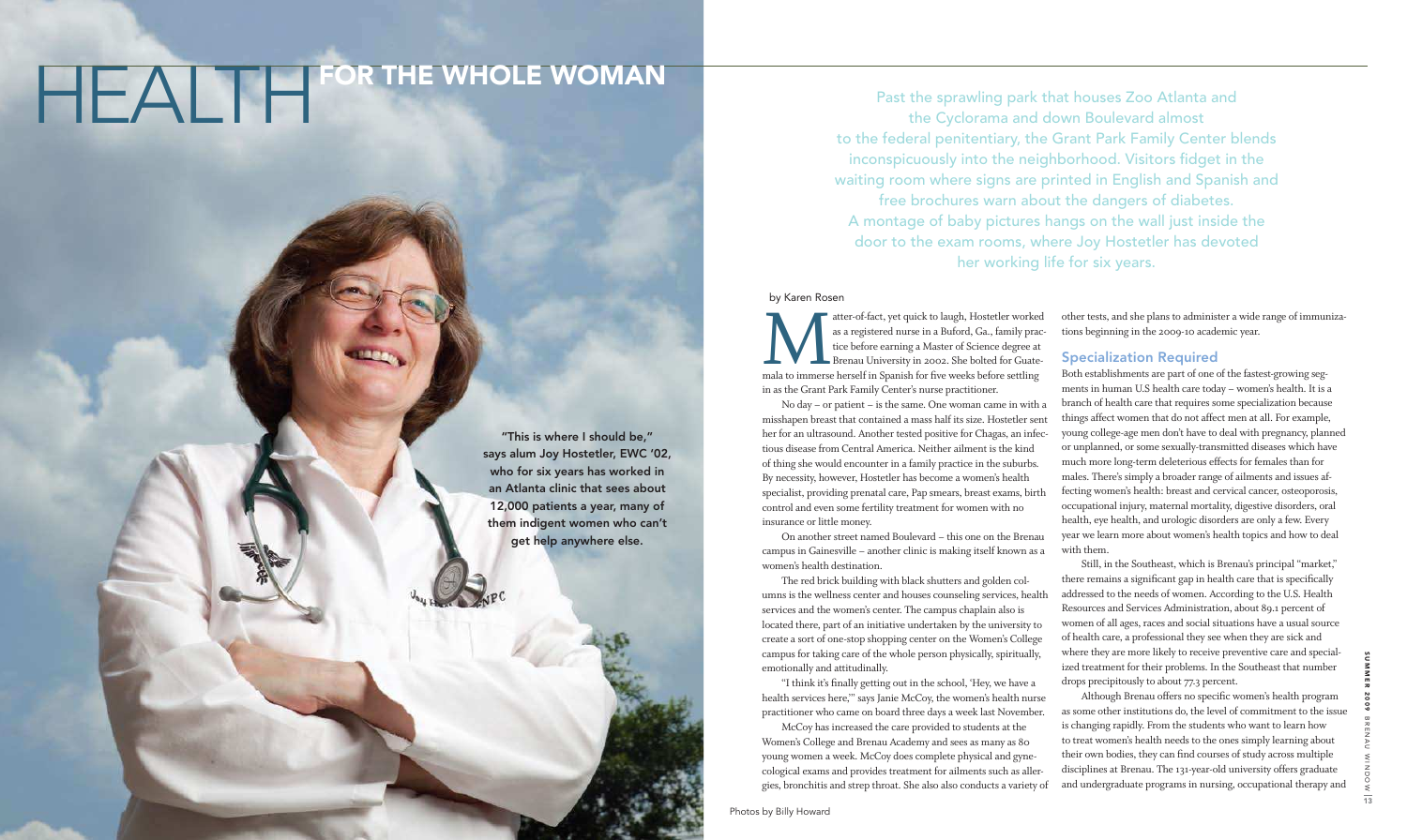"I think it's finally getting out in the school, 'Hey, we have a health services here,'" says Janie McCoy, the women's health nurse practitioner who came on board three days a week last November. McCoy has increased the care provided to students at the Women's College and Brenau Academy and sees as many as 80 young women a week. McCoy does complete physical and gynecological exams and provides treatment for ailments such as allergies, bronchitis and strep throat. She also also conducts a variety of

in as the Grant Park Family Center's nurse practitioner. No day – or patient – is the same. One woman came in with a misshapen breast that contained a mass half its size. Hostetler sent her for an ultrasound. Another tested positive for Chagas, an infectious disease from Central America. Neither ailment is the kind of thing she would encounter in a family practice in the suburbs. By necessity, however, Hostetler has become a women's health specialist, providing prenatal care, Pap smears, breast exams, birth control and even some fertility treatment for women with no insurance or little money. On another street named Boulevard – this one on the Brenau campus in Gainesville – another clinic is making itself known as a Both establishments are part of one of the fastest-growing segments in human U.S health care today – women's health. It is a branch of health care that requires some specialization because things affect women that do not affect men at all. For example, young college-age men don't have to deal with pregnancy, planned or unplanned, or some sexually-transmitted diseases which have much more long-term deleterious effects for females than for males. There's simply a broader range of ailments and issues affecting women's health: breast and cervical cancer, osteoporosis, occupational injury, maternal mortality, digestive disorders, oral health, eye health, and urologic disorders are only a few. Every year we learn more about women's health topics and how to deal with them.

Although Brenau offers no specific women's health program as some other institutions do, the level of commitment to the issue is changing rapidly. From the students who want to learn how to treat women's health needs to the ones simply learning about their own bodies, they can find courses of study across multiple disciplines at Brenau. The 131-year-old university offers graduate and undergraduate programs in nursing, occupational therapy and

other tests, and she plans to administer a wide range of immunizations beginning in the 2009-10 academic year.

### Specialization Required

women's health destination. The red brick building with black shutters and golden columns is the wellness center and houses counseling services, health services and the women's center. The campus chaplain also is located there, part of an initiative undertaken by the university to create a sort of one-stop shopping center on the Women's College campus for taking care of the whole person physically, spiritually, emotionally and attitudinally. Still, in the Southeast, which is Brenau's principal "market," there remains a significant gap in health care that is specifically addressed to the needs of women. According to the U.S. Health Resources and Services Administration, about 89.1 percent of women of all ages, races and social situations have a usual source of health care, a professional they see when they are sick and where they are more likely to receive preventive care and specialized treatment for their problems. In the Southeast that number drops precipitously to about 77.3 percent.

by Karen Rosen

atter-of-fact, yet quick to laugh, Hostetler worked as a registered nurse in a Buford, Ga., family practice before earning a Master of Science degree at Brenau University in 2002. She bolted for Guatemala to immerse hersel atter-of-fact, yet quick to laugh, Hostetler worked as a registered nurse in a Buford, Ga., family practice before earning a Master of Science degree at Brenau University in 2002. She bolted for Guate-

Past the sprawling park that houses Zoo Atlanta and the Cyclorama and down Boulevard almost to the federal penitentiary, the Grant Park Family Center blends inconspicuously into the neighborhood. Visitors fidget in the waiting room where signs are printed in English and Spanish and free brochures warn about the dangers of diabetes. A montage of baby pictures hangs on the wall just inside the door to the exam rooms, where Joy Hostetler has devoted her working life for six years.

# HEALTH FOR THE WHOLE WOMAN

"This is where I should be," says alum Joy Hostetler, EWC '02, who for six years has worked in an Atlanta clinic that sees about 12,000 patients a year, many of them indigent women who can't get help anywhere else.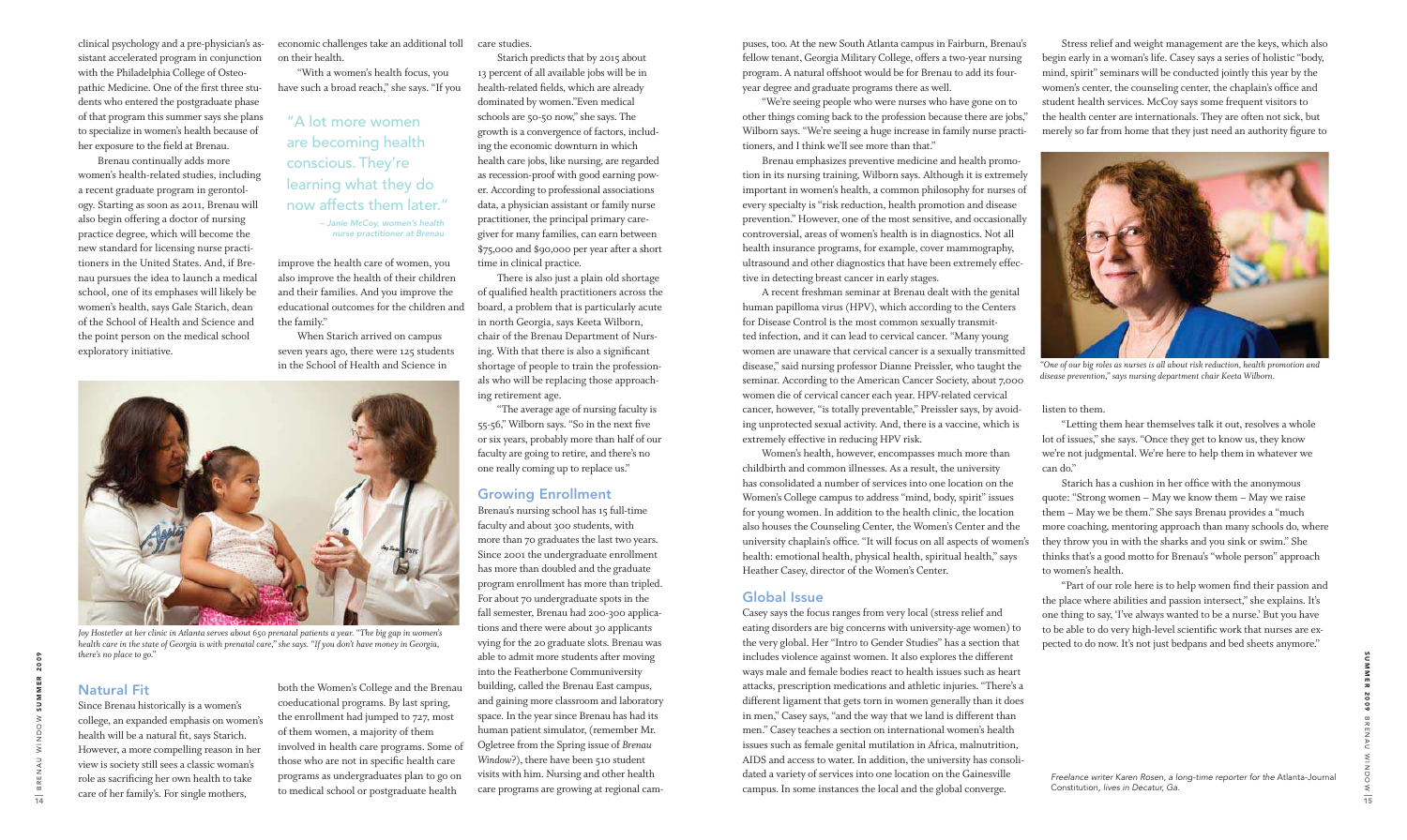clinical psychology and a pre-physician's assistant accelerated program in conjunction with the Philadelphia College of Osteopathic Medicine. One of the first three students who entered the postgraduate phase of that program this summer says she plans to specialize in women's health because of her exposure to the field at Brenau.

 Brenau continually adds more women's health-related studies, including a recent graduate program in gerontology. Starting as soon as 2011, Brenau will also begin offering a doctor of nursing practice degree, which will become the new standard for licensing nurse practitioners in the United States. And, if Brenau pursues the idea to launch a medical school, one of its emphases will likely be women's health, says Gale Starich, dean of the School of Health and Science and the point person on the medical school exploratory initiative.

## Natural Fit

Since Brenau historically is a women's college, an expanded emphasis on women's health will be a natural fit, says Starich. However, a more compelling reason in her view is society still sees a classic woman's role as sacriicing her own health to take care of her family's. For single mothers,

economic challenges take an additional toll on their health.

 "With a women's health focus, you have such a broad reach," she says. "If you

improve the health care of women, you also improve the health of their children and their families. And you improve the educational outcomes for the children and the family."

 When Starich arrived on campus seven years ago, there were 125 students in the School of Health and Science in

both the Women's College and the Brenau coeducational programs. By last spring, the enrollment had jumped to 727, most of them women, a majority of them involved in health care programs. Some of those who are not in specific health care programs as undergraduates plan to go on to medical school or postgraduate health

care studies.

 Starich predicts that by 2015 about 13 percent of all available jobs will be in health-related fields, which are already dominated by women."Even medical schools are 50-50 now," she says. The growth is a convergence of factors, including the economic downturn in which health care jobs, like nursing, are regarded as recession-proof with good earning power. According to professional associations data, a physician assistant or family nurse practitioner, the principal primary caregiver for many families, can earn between \$75,000 and \$90,000 per year after a short time in clinical practice.

 There is also just a plain old shortage of qualified health practitioners across the board, a problem that is particularly acute in north Georgia, says Keeta Wilborn, chair of the Brenau Department of Nursing. With that there is also a significant shortage of people to train the professionals who will be replacing those approaching retirement age.

 "The average age of nursing faculty is 55-56," Wilborn says. "So in the next five or six years, probably more than half of our faculty are going to retire, and there's no one really coming up to replace us."

### Growing Enrollment

 Stress relief and weight management are the keys, which also begin early in a woman's life. Casey says a series of holistic "body, mind, spirit" seminars will be conducted jointly this year by the women's center, the counseling center, the chaplain's ofice and student health services. McCoy says some frequent visitors to the health center are internationals. They are often not sick, but merely so far from home that they just need an authority figure to

Brenau's nursing school has 15 full-time faculty and about 300 students, with more than 70 graduates the last two years. Since 2001 the undergraduate enrollment has more than doubled and the graduate program enrollment has more than tripled. For about 70 undergraduate spots in the fall semester, Brenau had 200-300 applications and there were about 30 applicants vying for the 20 graduate slots. Brenau was able to admit more students after moving into the Featherbone Communiversity building, called the Brenau East campus, and gaining more classroom and laboratory space. In the year since Brenau has had its human patient simulator, (remember Mr. Ogletree from the Spring issue of *Brenau Window*?), there have been 510 student visits with him. Nursing and other health care programs are growing at regional cam-

puses, too. At the new South Atlanta campus in Fairburn, Brenau's fellow tenant, Georgia Military College, offers a two-year nursing program. A natural offshoot would be for Brenau to add its fouryear degree and graduate programs there as well.

> "Part of our role here is to help women find their passion and the place where abilities and passion intersect," she explains. It's one thing to say, 'I've always wanted to be a nurse.' But you have to be able to do very high-level scientiic work that nurses are expected to do now. It's not just bedpans and bed sheets anymore."

 "We're seeing people who were nurses who have gone on to other things coming back to the profession because there are jobs," Wilborn says. "We're seeing a huge increase in family nurse practitioners, and I think we'll see more than that."

 Brenau emphasizes preventive medicine and health promotion in its nursing training, Wilborn says. Although it is extremely important in women's health, a common philosophy for nurses of every specialty is "risk reduction, health promotion and disease prevention." However, one of the most sensitive, and occasionally controversial, areas of women's health is in diagnostics. Not all health insurance programs, for example, cover mammography, ultrasound and other diagnostics that have been extremely effective in detecting breast cancer in early stages.

 A recent freshman seminar at Brenau dealt with the genital human papilloma virus (HPV), which according to the Centers for Disease Control is the most common sexually transmitted infection, and it can lead to cervical cancer. "Many young women are unaware that cervical cancer is a sexually transmitted disease," said nursing professor Dianne Preissler, who taught the seminar. According to the American Cancer Society, about 7,000 women die of cervical cancer each year. HPV-related cervical cancer, however, "is totally preventable," Preissler says, by avoiding unprotected sexual activity. And, there is a vaccine, which is extremely effective in reducing HPV risk.

 Women's health, however, encompasses much more than childbirth and common illnesses. As a result, the university has consolidated a number of services into one location on the Women's College campus to address "mind, body, spirit" issues for young women. In addition to the health clinic, the location also houses the Counseling Center, the Women's Center and the university chaplain's ofice. "It will focus on all aspects of women's health: emotional health, physical health, spiritual health," says Heather Casey, director of the Women's Center.

### Global Issue

Casey says the focus ranges from very local (stress relief and eating disorders are big concerns with university-age women) to the very global. Her "Intro to Gender Studies" has a section that includes violence against women. It also explores the different ways male and female bodies react to health issues such as heart attacks, prescription medications and athletic injuries. "There's a different ligament that gets torn in women generally than it does in men," Casey says, "and the way that we land is different than men." Casey teaches a section on international women's health issues such as female genital mutilation in Africa, malnutrition, AIDS and access to water. In addition, the university has consolidated a variety of services into one location on the Gainesville campus. In some instances the local and the global converge.

listen to them.

 "Letting them hear themselves talk it out, resolves a whole lot of issues," she says. "Once they get to know us, they know we're not judgmental. We're here to help them in whatever we can do."

 Starich has a cushion in her ofice with the anonymous quote: "Strong women – May we know them – May we raise them – May we be them." She says Brenau provides a "much more coaching, mentoring approach than many schools do, where they throw you in with the sharks and you sink or swim." She thinks that's a good motto for Brenau's "whole person" approach to women's health.

# "A lot more women are becoming health conscious. They're learning what they do now affects them later."



*"One of our big roles as nurses is all about risk reduction, health promotion and disease prevention," says nursing department chair Keeta Wilborn.*



*Joy Hostetler at her clinic in Atlanta serves about 650 prenatal patients a year. "The big gap in women's health care in the state of Georgia is with prenatal care," she says. "If you don't have money in Georgia, there's no place to go."*

 – Janie McCoy, women's health nurse practitioner at Brenau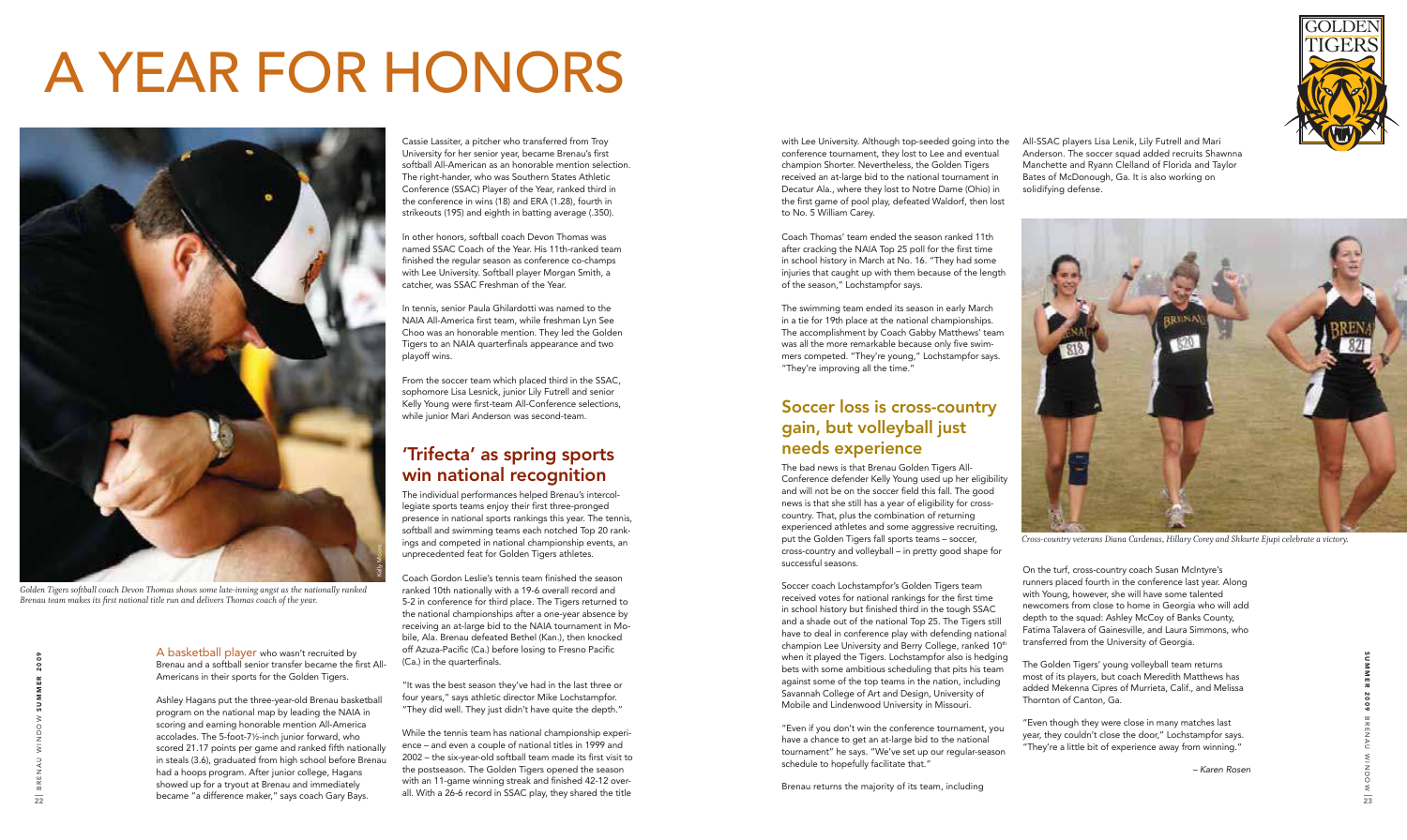SUMMER 2009 B R E N A U WOONIW W I N I N ⇒ 23

A basketball player who wasn't recruited by Brenau and a softball senior transfer became the first All-Americans in their sports for the Golden Tigers.

Ashley Hagans put the three-year-old Brenau basketball program on the national map by leading the NAIA in scoring and earning honorable mention All-America accolades. The 5-foot-7½-inch junior forward, who scored 21.17 points per game and ranked fifth nationally in steals (3.6), graduated from high school before Brenau had a hoops program. After junior college, Hagans showed up for a tryout at Brenau and immediately became "a difference maker," says coach Gary Bays.

Cassie Lassiter, a pitcher who transferred from Troy University for her senior year, became Brenau's first softball All-American as an honorable mention selection. The right-hander, who was Southern States Athletic Conference (SSAC) Player of the Year, ranked third in the conference in wins (18) and ERA (1.28), fourth in strikeouts (195) and eighth in batting average (.350).

In other honors, softball coach Devon Thomas was named SSAC Coach of the Year. His 11th-ranked team finished the regular season as conference co-champs with Lee University. Softball player Morgan Smith, a catcher, was SSAC Freshman of the Year.

In tennis, senior Paula Ghilardotti was named to the NAIA All-America first team, while freshman Lyn See Choo was an honorable mention. They led the Golden Tigers to an NAIA quarterfinals appearance and two playoff wins.

From the soccer team which placed third in the SSAC, sophomore Lisa Lesnick, junior Lily Futrell and senior Kelly Young were first-team All-Conference selections, while junior Mari Anderson was second-team.

# 'Trifecta' as spring sports win national recognition

The individual performances helped Brenau's intercollegiate sports teams enjoy their first three-pronged presence in national sports rankings this year. The tennis, softball and swimming teams each notched Top 20 rankings and competed in national championship events, an unprecedented feat for Golden Tigers athletes.

Coach Gordon Leslie's tennis team finished the season ranked 10th nationally with a 19-6 overall record and 5-2 in conference for third place. The Tigers returned to the national championships after a one-year absence by receiving an at-large bid to the NAIA tournament in Mobile, Ala. Brenau defeated Bethel (Kan.), then knocked off Azuza-Pacific (Ca.) before losing to Fresno Pacific (Ca.) in the quarterfinals.

"It was the best season they've had in the last three or four years," says athletic director Mike Lochstampfor. "They did well. They just didn't have quite the depth."

While the tennis team has national championship experience – and even a couple of national titles in 1999 and 2002 – the six-year-old softball team made its first visit to the postseason. The Golden Tigers opened the season with an 11-game winning streak and finished 42-12 overall. With a 26-6 record in SSAC play, they shared the title



# A YEAR FOR HONORS

with Lee University. Although top-seeded going into the conference tournament, they lost to Lee and eventual champion Shorter. Nevertheless, the Golden Tigers received an at-large bid to the national tournament in Decatur Ala., where they lost to Notre Dame (Ohio) in the first game of pool play, defeated Waldorf, then lost to No. 5 William Carey.

Coach Thomas' team ended the season ranked 11th after cracking the NAIA Top 25 poll for the first time in school history in March at No. 16. "They had some injuries that caught up with them because of the length of the season," Lochstampfor says.

The swimming team ended its season in early March in a tie for 19th place at the national championships. The accomplishment by Coach Gabby Matthews' team was all the more remarkable because only five swimmers competed. "They're young," Lochstampfor says. "They're improving all the time."

# Soccer loss is cross-country gain, but volleyball just needs experience

The bad news is that Brenau Golden Tigers All-Conference defender Kelly Young used up her eligibility and will not be on the soccer field this fall. The good news is that she still has a year of eligibility for crosscountry. That, plus the combination of returning experienced athletes and some aggressive recruiting, put the Golden Tigers fall sports teams – soccer, cross-country and volleyball – in pretty good shape for successful seasons.



*Golden Tigers softball coach Devon Thomas shows some late-inning angst as the nationally ranked Brenau team makes its irst national title run and delivers Thomas coach of the year.*

Soccer coach Lochstampfor's Golden Tigers team received votes for national rankings for the first time in school history but finished third in the tough SSAC and a shade out of the national Top 25. The Tigers still have to deal in conference play with defending national champion Lee University and Berry College, ranked 10<sup>th</sup> when it played the Tigers. Lochstampfor also is hedging bets with some ambitious scheduling that pits his team against some of the top teams in the nation, including Savannah College of Art and Design, University of Mobile and Lindenwood University in Missouri.

"Even if you don't win the conference tournament, you have a chance to get an at-large bid to the national tournament" he says. "We've set up our regular-season schedule to hopefully facilitate that."

Brenau returns the majority of its team, including

All-SSAC players Lisa Lenik, Lily Futrell and Mari Anderson. The soccer squad added recruits Shawnna Manchette and Ryann Clelland of Florida and Taylor Bates of McDonough, Ga. It is also working on solidifying defense.

On the turf, cross-country coach Susan McIntyre's runners placed fourth in the conference last year. Along with Young, however, she will have some talented newcomers from close to home in Georgia who will add depth to the squad: Ashley McCoy of Banks County, Fatima Talavera of Gainesville, and Laura Simmons, who transferred from the University of Georgia.

The Golden Tigers' young volleyball team returns most of its players, but coach Meredith Matthews has added Mekenna Cipres of Murrieta, Calif., and Melissa Thornton of Canton, Ga.

"Even though they were close in many matches last year, they couldn't close the door," Lochstampfor says. "They're a little bit of experience away from winning."

– Karen Rosen



*Cross-country veterans Diana Cardenas, Hillary Corey and Shkurte Ejupi celebrate a victory.*